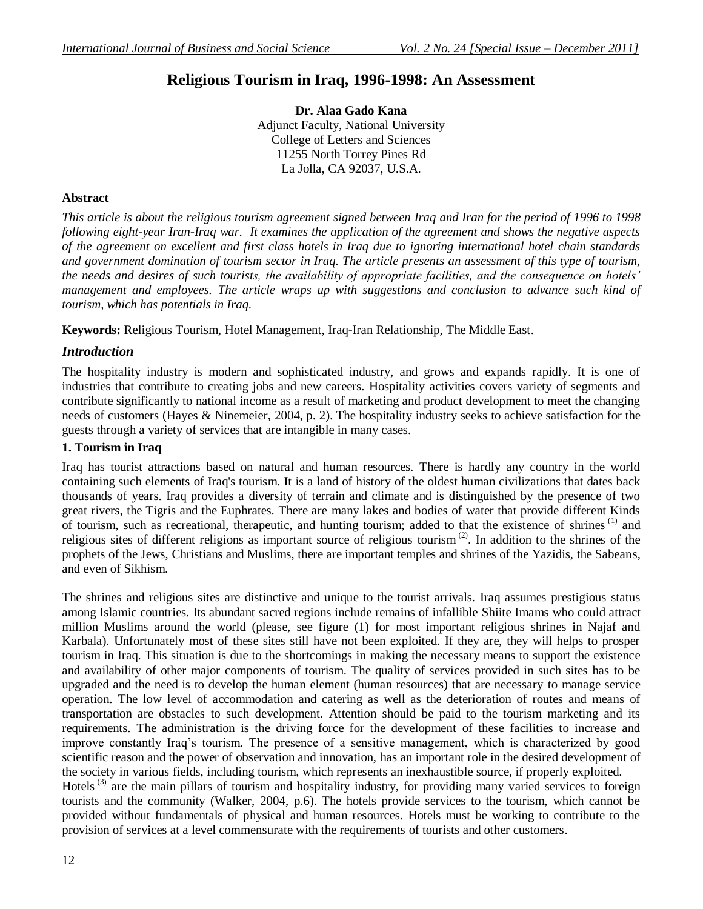# **Religious Tourism in Iraq, 1996-1998: An Assessment**

**Dr. Alaa Gado Kana** Adjunct Faculty, National University College of Letters and Sciences 11255 North Torrey Pines Rd La Jolla, CA 92037, U.S.A.

### **Abstract**

*This article is about the religious tourism agreement signed between Iraq and Iran for the period of 1996 to 1998 following eight-year Iran-Iraq war. It examines the application of the agreement and shows the negative aspects of the agreement on excellent and first class hotels in Iraq due to ignoring international hotel chain standards and government domination of tourism sector in Iraq. The article presents an assessment of this type of tourism, the needs and desires of such tourists, the availability of appropriate facilities, and the consequence on hotels' management and employees. The article wraps up with suggestions and conclusion to advance such kind of tourism, which has potentials in Iraq.*

**Keywords:** Religious Tourism, Hotel Management, Iraq-Iran Relationship, The Middle East.

### *Introduction*

The hospitality industry is modern and sophisticated industry, and grows and expands rapidly. It is one of industries that contribute to creating jobs and new careers. Hospitality activities covers variety of segments and contribute significantly to national income as a result of marketing and product development to meet the changing needs of customers (Hayes & Ninemeier, 2004, p. 2). The hospitality industry seeks to achieve satisfaction for the guests through a variety of services that are intangible in many cases.

### **1. Tourism in Iraq**

Iraq has tourist attractions based on natural and human resources. There is hardly any country in the world containing such elements of Iraq's tourism. It is a land of history of the oldest human civilizations that dates back thousands of years. Iraq provides a diversity of terrain and climate and is distinguished by the presence of two great rivers, the Tigris and the Euphrates. There are many lakes and bodies of water that provide different Kinds of tourism, such as recreational, therapeutic, and hunting tourism; added to that the existence of shrines (1) and religious sites of different religions as important source of religious tourism (2). In addition to the shrines of the prophets of the Jews, Christians and Muslims, there are important temples and shrines of the Yazidis, the Sabeans, and even of Sikhism.

The shrines and religious sites are distinctive and unique to the tourist arrivals. Iraq assumes prestigious status among Islamic countries. Its abundant sacred regions include remains of infallible Shiite Imams who could attract million Muslims around the world (please, see figure (1) for most important religious shrines in Najaf and Karbala). Unfortunately most of these sites still have not been exploited. If they are, they will helps to prosper tourism in Iraq. This situation is due to the shortcomings in making the necessary means to support the existence and availability of other major components of tourism. The quality of services provided in such sites has to be upgraded and the need is to develop the human element (human resources) that are necessary to manage service operation. The low level of accommodation and catering as well as the deterioration of routes and means of transportation are obstacles to such development. Attention should be paid to the tourism marketing and its requirements. The administration is the driving force for the development of these facilities to increase and improve constantly Iraq's tourism. The presence of a sensitive management, which is characterized by good scientific reason and the power of observation and innovation, has an important role in the desired development of the society in various fields, including tourism, which represents an inexhaustible source, if properly exploited. Hotels<sup>(3)</sup> are the main pillars of tourism and hospitality industry, for providing many varied services to foreign

tourists and the community (Walker, 2004, p.6). The hotels provide services to the tourism, which cannot be provided without fundamentals of physical and human resources. Hotels must be working to contribute to the provision of services at a level commensurate with the requirements of tourists and other customers.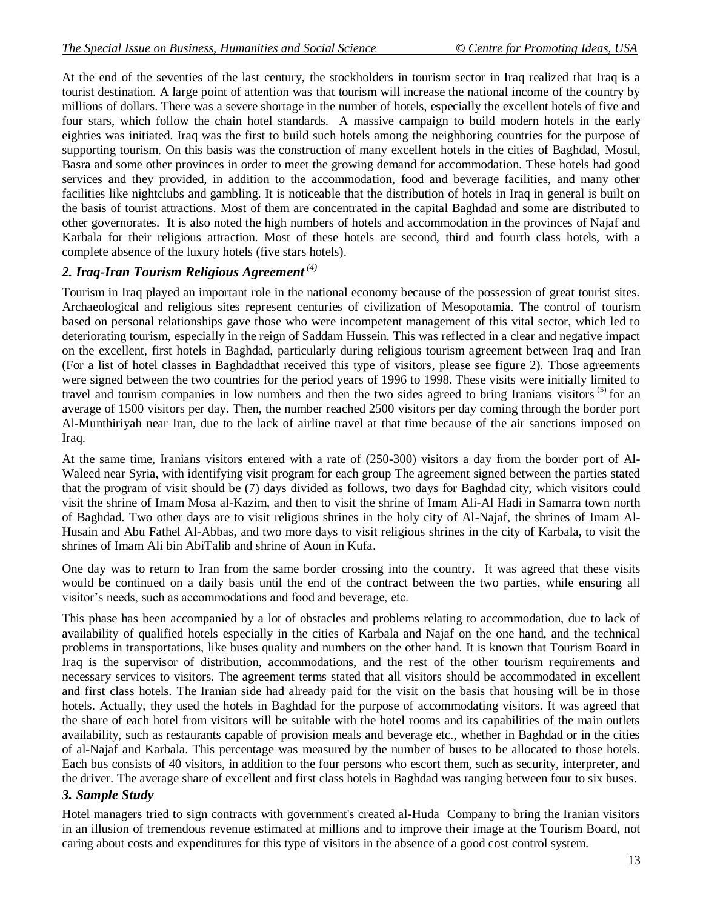At the end of the seventies of the last century, the stockholders in tourism sector in Iraq realized that Iraq is a tourist destination. A large point of attention was that tourism will increase the national income of the country by millions of dollars. There was a severe shortage in the number of hotels, especially the excellent hotels of five and four stars, which follow the chain hotel standards. A massive campaign to build modern hotels in the early eighties was initiated. Iraq was the first to build such hotels among the neighboring countries for the purpose of supporting tourism. On this basis was the construction of many excellent hotels in the cities of Baghdad, Mosul, Basra and some other provinces in order to meet the growing demand for accommodation. These hotels had good services and they provided, in addition to the accommodation, food and beverage facilities, and many other facilities like nightclubs and gambling. It is noticeable that the distribution of hotels in Iraq in general is built on the basis of tourist attractions. Most of them are concentrated in the capital Baghdad and some are distributed to other governorates. It is also noted the high numbers of hotels and accommodation in the provinces of Najaf and Karbala for their religious attraction. Most of these hotels are second, third and fourth class hotels, with a complete absence of the luxury hotels (five stars hotels).

# *2. Iraq-Iran Tourism Religious Agreement (4)*

Tourism in Iraq played an important role in the national economy because of the possession of great tourist sites. Archaeological and religious sites represent centuries of civilization of Mesopotamia. The control of tourism based on personal relationships gave those who were incompetent management of this vital sector, which led to deteriorating tourism, especially in the reign of Saddam Hussein. This was reflected in a clear and negative impact on the excellent, first hotels in Baghdad, particularly during religious tourism agreement between Iraq and Iran (For a list of hotel classes in Baghdadthat received this type of visitors, please see figure 2). Those agreements were signed between the two countries for the period years of 1996 to 1998. These visits were initially limited to travel and tourism companies in low numbers and then the two sides agreed to bring Iranians visitors <sup>(5)</sup> for an average of 1500 visitors per day. Then, the number reached 2500 visitors per day coming through the border port Al-Munthiriyah near Iran, due to the lack of airline travel at that time because of the air sanctions imposed on Iraq.

At the same time, Iranians visitors entered with a rate of (250-300) visitors a day from the border port of Al-Waleed near Syria, with identifying visit program for each group The agreement signed between the parties stated that the program of visit should be (7) days divided as follows, two days for Baghdad city, which visitors could visit the shrine of Imam Mosa al-Kazim, and then to visit the shrine of Imam Ali-Al Hadi in Samarra town north of Baghdad. Two other days are to visit religious shrines in the holy city of Al-Najaf, the shrines of Imam Al-Husain and Abu Fathel Al-Abbas, and two more days to visit religious shrines in the city of Karbala, to visit the shrines of Imam Ali bin AbiTalib and shrine of Aoun in Kufa.

One day was to return to Iran from the same border crossing into the country. It was agreed that these visits would be continued on a daily basis until the end of the contract between the two parties, while ensuring all visitor's needs, such as accommodations and food and beverage, etc.

This phase has been accompanied by a lot of obstacles and problems relating to accommodation, due to lack of availability of qualified hotels especially in the cities of Karbala and Najaf on the one hand, and the technical problems in transportations, like buses quality and numbers on the other hand. It is known that Tourism Board in Iraq is the supervisor of distribution, accommodations, and the rest of the other tourism requirements and necessary services to visitors. The agreement terms stated that all visitors should be accommodated in excellent and first class hotels. The Iranian side had already paid for the visit on the basis that housing will be in those hotels. Actually, they used the hotels in Baghdad for the purpose of accommodating visitors. It was agreed that the share of each hotel from visitors will be suitable with the hotel rooms and its capabilities of the main outlets availability, such as restaurants capable of provision meals and beverage etc., whether in Baghdad or in the cities of al-Najaf and Karbala. This percentage was measured by the number of buses to be allocated to those hotels. Each bus consists of 40 visitors, in addition to the four persons who escort them, such as security, interpreter, and the driver. The average share of excellent and first class hotels in Baghdad was ranging between four to six buses.

## *3. Sample Study*

Hotel managers tried to sign contracts with government's created al-Huda Company to bring the Iranian visitors in an illusion of tremendous revenue estimated at millions and to improve their image at the Tourism Board, not caring about costs and expenditures for this type of visitors in the absence of a good cost control system.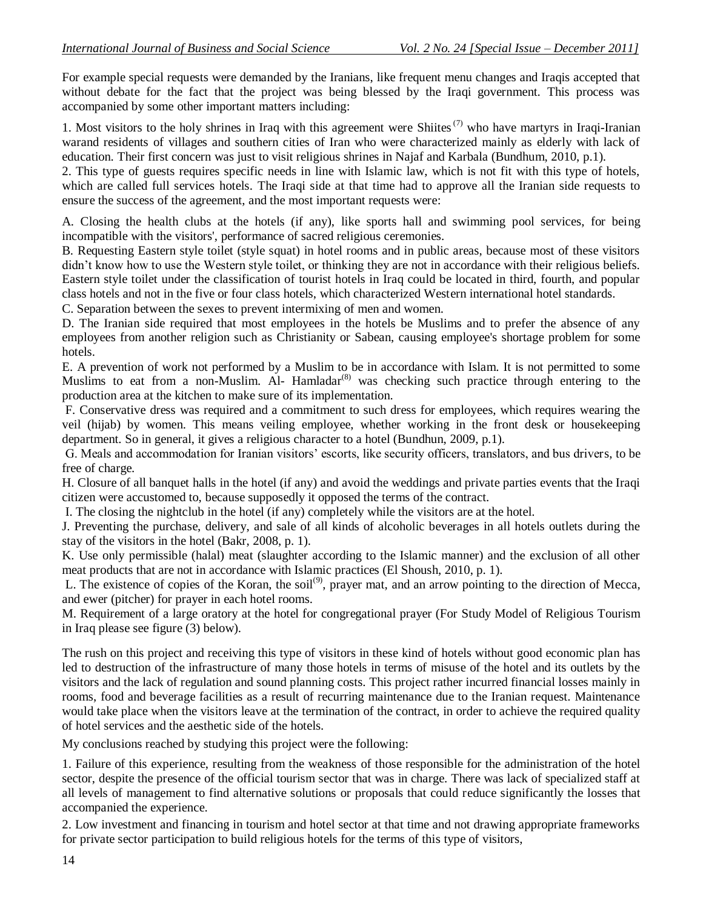For example special requests were demanded by the Iranians, like frequent menu changes and Iraqis accepted that without debate for the fact that the project was being blessed by the Iraqi government. This process was accompanied by some other important matters including:

1. Most visitors to the holy shrines in Iraq with this agreement were Shiites<sup> $(7)$ </sup> who have martyrs in Iraqi-Iranian warand residents of villages and southern cities of Iran who were characterized mainly as elderly with lack of education. Their first concern was just to visit religious shrines in Najaf and Karbala (Bundhum, 2010, p.1).

2. This type of guests requires specific needs in line with Islamic law, which is not fit with this type of hotels, which are called full services hotels. The Iraqi side at that time had to approve all the Iranian side requests to ensure the success of the agreement, and the most important requests were:

A. Closing the health clubs at the hotels (if any), like sports hall and swimming pool services, for being incompatible with the visitors', performance of sacred religious ceremonies.

B. Requesting Eastern style toilet (style squat) in hotel rooms and in public areas, because most of these visitors didn't know how to use the Western style toilet, or thinking they are not in accordance with their religious beliefs. Eastern style toilet under the classification of tourist hotels in Iraq could be located in third, fourth, and popular class hotels and not in the five or four class hotels, which characterized Western international hotel standards.

C. Separation between the sexes to prevent intermixing of men and women.

D. The Iranian side required that most employees in the hotels be Muslims and to prefer the absence of any employees from another religion such as Christianity or Sabean, causing employee's shortage problem for some hotels.

E. A prevention of work not performed by a Muslim to be in accordance with Islam. It is not permitted to some Muslims to eat from a non-Muslim. Al- Hamladar<sup>(8)</sup> was checking such practice through entering to the production area at the kitchen to make sure of its implementation.

F. Conservative dress was required and a commitment to such dress for employees, which requires wearing the veil (hijab) by women. This means veiling employee, whether working in the front desk or housekeeping department. So in general, it gives a religious character to a hotel (Bundhun, 2009, p.1).

G. Meals and accommodation for Iranian visitors' escorts, like security officers, translators, and bus drivers, to be free of charge.

H. Closure of all banquet halls in the hotel (if any) and avoid the weddings and private parties events that the Iraqi citizen were accustomed to, because supposedly it opposed the terms of the contract.

I. The closing the nightclub in the hotel (if any) completely while the visitors are at the hotel.

J. Preventing the purchase, delivery, and sale of all kinds of alcoholic beverages in all hotels outlets during the stay of the visitors in the hotel (Bakr, 2008, p. 1).

K. Use only permissible (halal) meat (slaughter according to the Islamic manner) and the exclusion of all other meat products that are not in accordance with Islamic practices (El Shoush, 2010, p. 1).

L. The existence of copies of the Koran, the soil<sup>(9)</sup>, prayer mat, and an arrow pointing to the direction of Mecca, and ewer (pitcher) for prayer in each hotel rooms.

M. Requirement of a large oratory at the hotel for congregational prayer (For Study Model of Religious Tourism in Iraq please see figure (3) below).

The rush on this project and receiving this type of visitors in these kind of hotels without good economic plan has led to destruction of the infrastructure of many those hotels in terms of misuse of the hotel and its outlets by the visitors and the lack of regulation and sound planning costs. This project rather incurred financial losses mainly in rooms, food and beverage facilities as a result of recurring maintenance due to the Iranian request. Maintenance would take place when the visitors leave at the termination of the contract, in order to achieve the required quality of hotel services and the aesthetic side of the hotels.

My conclusions reached by studying this project were the following:

1. Failure of this experience, resulting from the weakness of those responsible for the administration of the hotel sector, despite the presence of the official tourism sector that was in charge. There was lack of specialized staff at all levels of management to find alternative solutions or proposals that could reduce significantly the losses that accompanied the experience.

2. Low investment and financing in tourism and hotel sector at that time and not drawing appropriate frameworks for private sector participation to build religious hotels for the terms of this type of visitors,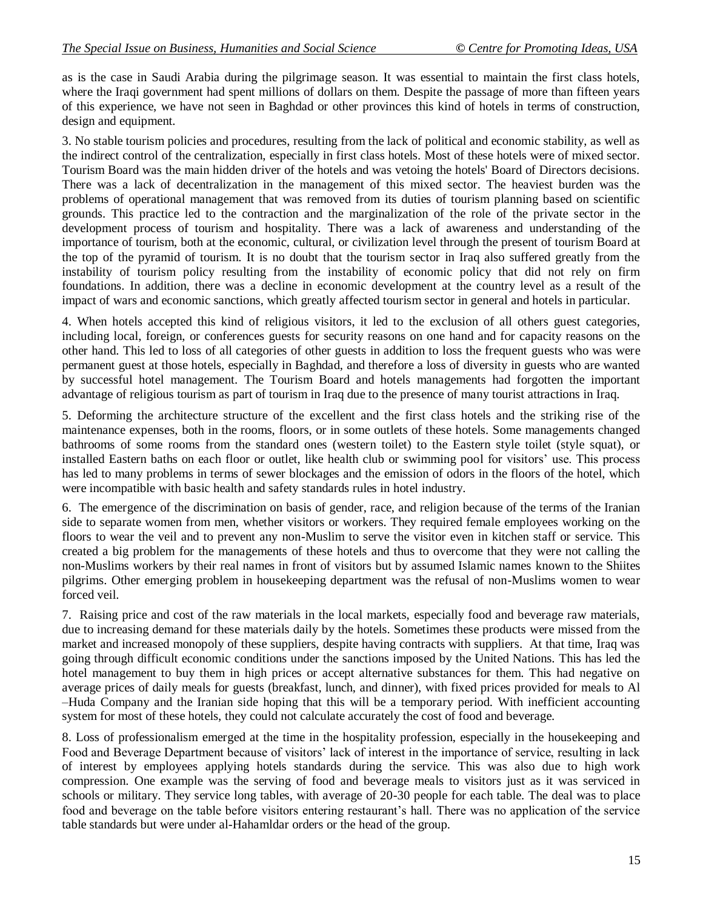as is the case in Saudi Arabia during the pilgrimage season. It was essential to maintain the first class hotels, where the Iraqi government had spent millions of dollars on them. Despite the passage of more than fifteen years of this experience, we have not seen in Baghdad or other provinces this kind of hotels in terms of construction, design and equipment.

3. No stable tourism policies and procedures, resulting from the lack of political and economic stability, as well as the indirect control of the centralization, especially in first class hotels. Most of these hotels were of mixed sector. Tourism Board was the main hidden driver of the hotels and was vetoing the hotels' Board of Directors decisions. There was a lack of decentralization in the management of this mixed sector. The heaviest burden was the problems of operational management that was removed from its duties of tourism planning based on scientific grounds. This practice led to the contraction and the marginalization of the role of the private sector in the development process of tourism and hospitality. There was a lack of awareness and understanding of the importance of tourism, both at the economic, cultural, or civilization level through the present of tourism Board at the top of the pyramid of tourism. It is no doubt that the tourism sector in Iraq also suffered greatly from the instability of tourism policy resulting from the instability of economic policy that did not rely on firm foundations. In addition, there was a decline in economic development at the country level as a result of the impact of wars and economic sanctions, which greatly affected tourism sector in general and hotels in particular.

4. When hotels accepted this kind of religious visitors, it led to the exclusion of all others guest categories, including local, foreign, or conferences guests for security reasons on one hand and for capacity reasons on the other hand. This led to loss of all categories of other guests in addition to loss the frequent guests who was were permanent guest at those hotels, especially in Baghdad, and therefore a loss of diversity in guests who are wanted by successful hotel management. The Tourism Board and hotels managements had forgotten the important advantage of religious tourism as part of tourism in Iraq due to the presence of many tourist attractions in Iraq.

5. Deforming the architecture structure of the excellent and the first class hotels and the striking rise of the maintenance expenses, both in the rooms, floors, or in some outlets of these hotels. Some managements changed bathrooms of some rooms from the standard ones (western toilet) to the Eastern style toilet (style squat), or installed Eastern baths on each floor or outlet, like health club or swimming pool for visitors' use. This process has led to many problems in terms of sewer blockages and the emission of odors in the floors of the hotel, which were incompatible with basic health and safety standards rules in hotel industry.

6. The emergence of the discrimination on basis of gender, race, and religion because of the terms of the Iranian side to separate women from men, whether visitors or workers. They required female employees working on the floors to wear the veil and to prevent any non-Muslim to serve the visitor even in kitchen staff or service. This created a big problem for the managements of these hotels and thus to overcome that they were not calling the non-Muslims workers by their real names in front of visitors but by assumed Islamic names known to the Shiites pilgrims. Other emerging problem in housekeeping department was the refusal of non-Muslims women to wear forced veil.

7. Raising price and cost of the raw materials in the local markets, especially food and beverage raw materials, due to increasing demand for these materials daily by the hotels. Sometimes these products were missed from the market and increased monopoly of these suppliers, despite having contracts with suppliers. At that time, Iraq was going through difficult economic conditions under the sanctions imposed by the United Nations. This has led the hotel management to buy them in high prices or accept alternative substances for them. This had negative on average prices of daily meals for guests (breakfast, lunch, and dinner), with fixed prices provided for meals to Al –Huda Company and the Iranian side hoping that this will be a temporary period. With inefficient accounting system for most of these hotels, they could not calculate accurately the cost of food and beverage.

8. Loss of professionalism emerged at the time in the hospitality profession, especially in the housekeeping and Food and Beverage Department because of visitors' lack of interest in the importance of service, resulting in lack of interest by employees applying hotels standards during the service. This was also due to high work compression. One example was the serving of food and beverage meals to visitors just as it was serviced in schools or military. They service long tables, with average of 20-30 people for each table. The deal was to place food and beverage on the table before visitors entering restaurant's hall. There was no application of the service table standards but were under al-Hahamldar orders or the head of the group.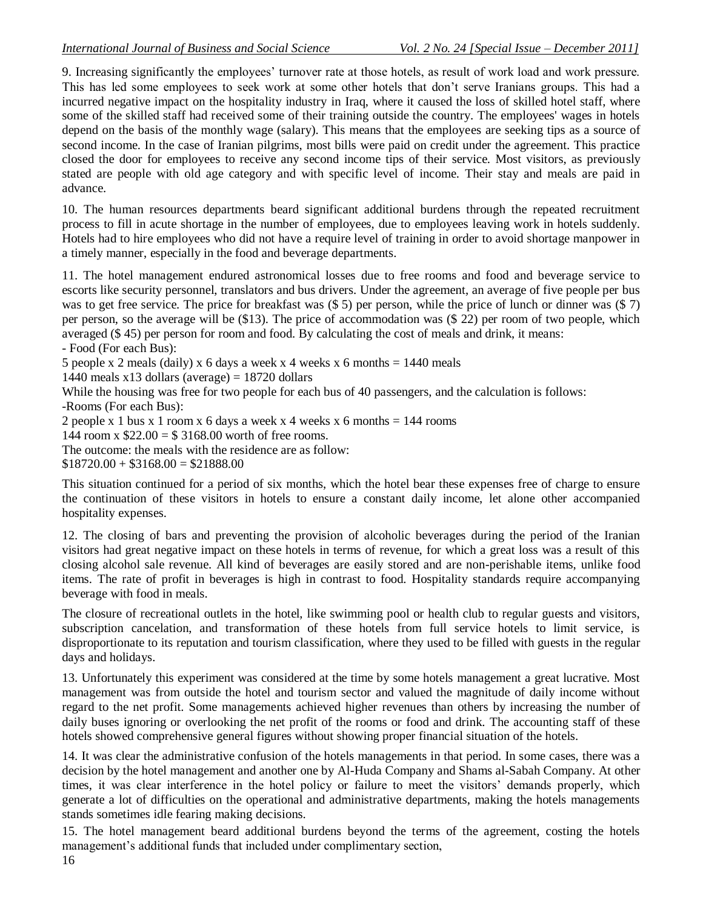9. Increasing significantly the employees' turnover rate at those hotels, as result of work load and work pressure. This has led some employees to seek work at some other hotels that don't serve Iranians groups. This had a incurred negative impact on the hospitality industry in Iraq, where it caused the loss of skilled hotel staff, where some of the skilled staff had received some of their training outside the country. The employees' wages in hotels depend on the basis of the monthly wage (salary). This means that the employees are seeking tips as a source of second income. In the case of Iranian pilgrims, most bills were paid on credit under the agreement. This practice closed the door for employees to receive any second income tips of their service. Most visitors, as previously stated are people with old age category and with specific level of income. Their stay and meals are paid in advance.

10. The human resources departments beard significant additional burdens through the repeated recruitment process to fill in acute shortage in the number of employees, due to employees leaving work in hotels suddenly. Hotels had to hire employees who did not have a require level of training in order to avoid shortage manpower in a timely manner, especially in the food and beverage departments.

11. The hotel management endured astronomical losses due to free rooms and food and beverage service to escorts like security personnel, translators and bus drivers. Under the agreement, an average of five people per bus was to get free service. The price for breakfast was  $(\$ 5)$  per person, while the price of lunch or dinner was  $(\$ 7)$ per person, so the average will be (\$13). The price of accommodation was (\$ 22) per room of two people, which averaged (\$ 45) per person for room and food. By calculating the cost of meals and drink, it means:

- Food (For each Bus):

5 people x 2 meals (daily) x 6 days a week x 4 weeks x 6 months =  $1440$  meals

1440 meals  $x13$  dollars (average) = 18720 dollars

While the housing was free for two people for each bus of 40 passengers, and the calculation is follows: -Rooms (For each Bus):

2 people x 1 bus x 1 room x 6 days a week x 4 weeks x 6 months  $= 144$  rooms

144 room x  $$22.00 = $3168.00$  worth of free rooms.

The outcome: the meals with the residence are as follow:

 $$18720.00 + $3168.00 = $21888.00$ 

This situation continued for a period of six months, which the hotel bear these expenses free of charge to ensure the continuation of these visitors in hotels to ensure a constant daily income, let alone other accompanied hospitality expenses.

12. The closing of bars and preventing the provision of alcoholic beverages during the period of the Iranian visitors had great negative impact on these hotels in terms of revenue, for which a great loss was a result of this closing alcohol sale revenue. All kind of beverages are easily stored and are non-perishable items, unlike food items. The rate of profit in beverages is high in contrast to food. Hospitality standards require accompanying beverage with food in meals.

The closure of recreational outlets in the hotel, like swimming pool or health club to regular guests and visitors, subscription cancelation, and transformation of these hotels from full service hotels to limit service, is disproportionate to its reputation and tourism classification, where they used to be filled with guests in the regular days and holidays.

13. Unfortunately this experiment was considered at the time by some hotels management a great lucrative. Most management was from outside the hotel and tourism sector and valued the magnitude of daily income without regard to the net profit. Some managements achieved higher revenues than others by increasing the number of daily buses ignoring or overlooking the net profit of the rooms or food and drink. The accounting staff of these hotels showed comprehensive general figures without showing proper financial situation of the hotels.

14. It was clear the administrative confusion of the hotels managements in that period. In some cases, there was a decision by the hotel management and another one by Al-Huda Company and Shams al-Sabah Company. At other times, it was clear interference in the hotel policy or failure to meet the visitors' demands properly, which generate a lot of difficulties on the operational and administrative departments, making the hotels managements stands sometimes idle fearing making decisions.

15. The hotel management beard additional burdens beyond the terms of the agreement, costing the hotels management's additional funds that included under complimentary section,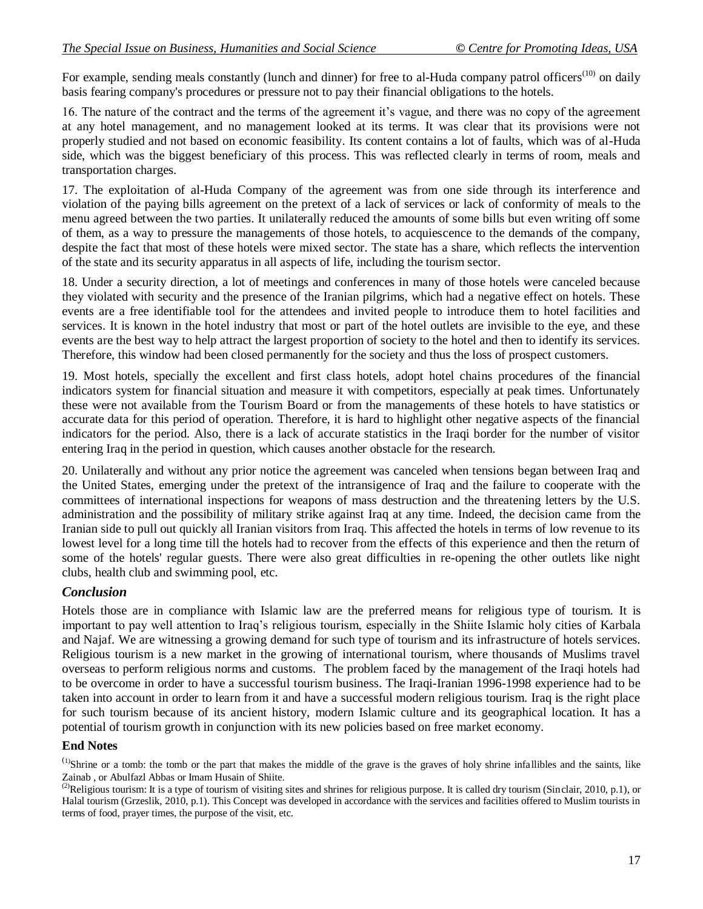For example, sending meals constantly (lunch and dinner) for free to al-Huda company patrol officers<sup>(10)</sup> on daily basis fearing company's procedures or pressure not to pay their financial obligations to the hotels.

16. The nature of the contract and the terms of the agreement it's vague, and there was no copy of the agreement at any hotel management, and no management looked at its terms. It was clear that its provisions were not properly studied and not based on economic feasibility. Its content contains a lot of faults, which was of al-Huda side, which was the biggest beneficiary of this process. This was reflected clearly in terms of room, meals and transportation charges.

17. The exploitation of al-Huda Company of the agreement was from one side through its interference and violation of the paying bills agreement on the pretext of a lack of services or lack of conformity of meals to the menu agreed between the two parties. It unilaterally reduced the amounts of some bills but even writing off some of them, as a way to pressure the managements of those hotels, to acquiescence to the demands of the company, despite the fact that most of these hotels were mixed sector. The state has a share, which reflects the intervention of the state and its security apparatus in all aspects of life, including the tourism sector.

18. Under a security direction, a lot of meetings and conferences in many of those hotels were canceled because they violated with security and the presence of the Iranian pilgrims, which had a negative effect on hotels. These events are a free identifiable tool for the attendees and invited people to introduce them to hotel facilities and services. It is known in the hotel industry that most or part of the hotel outlets are invisible to the eye, and these events are the best way to help attract the largest proportion of society to the hotel and then to identify its services. Therefore, this window had been closed permanently for the society and thus the loss of prospect customers.

19. Most hotels, specially the excellent and first class hotels, adopt hotel chains procedures of the financial indicators system for financial situation and measure it with competitors, especially at peak times. Unfortunately these were not available from the Tourism Board or from the managements of these hotels to have statistics or accurate data for this period of operation. Therefore, it is hard to highlight other negative aspects of the financial indicators for the period. Also, there is a lack of accurate statistics in the Iraqi border for the number of visitor entering Iraq in the period in question, which causes another obstacle for the research.

20. Unilaterally and without any prior notice the agreement was canceled when tensions began between Iraq and the United States, emerging under the pretext of the intransigence of Iraq and the failure to cooperate with the committees of international inspections for weapons of mass destruction and the threatening letters by the U.S. administration and the possibility of military strike against Iraq at any time. Indeed, the decision came from the Iranian side to pull out quickly all Iranian visitors from Iraq. This affected the hotels in terms of low revenue to its lowest level for a long time till the hotels had to recover from the effects of this experience and then the return of some of the hotels' regular guests. There were also great difficulties in re-opening the other outlets like night clubs, health club and swimming pool, etc.

## *Conclusion*

Hotels those are in compliance with Islamic law are the preferred means for religious type of tourism. It is important to pay well attention to Iraq's religious tourism, especially in the Shiite Islamic holy cities of Karbala and Najaf. We are witnessing a growing demand for such type of tourism and its infrastructure of hotels services. Religious tourism is a new market in the growing of international tourism, where thousands of Muslims travel overseas to perform religious norms and customs. The problem faced by the management of the Iraqi hotels had to be overcome in order to have a successful tourism business. The Iraqi-Iranian 1996-1998 experience had to be taken into account in order to learn from it and have a successful modern religious tourism. Iraq is the right place for such tourism because of its ancient history, modern Islamic culture and its geographical location. It has a potential of tourism growth in conjunction with its new policies based on free market economy.

### **End Notes**

 $<sup>(1)</sup>$ Shrine or a tomb: the tomb or the part that makes the middle of the grave is the graves of holy shrine infallibles and the saints, like</sup> Zainab , or Abulfazl Abbas or Imam Husain of Shiite.

<sup>&</sup>lt;sup>(2)</sup>Religious tourism: It is a type of tourism of visiting sites and shrines for religious purpose. It is called dry tourism (Sinclair, 2010, p.1), or Halal tourism (Grzeslik, 2010, p.1). This Concept was developed in accordance with the services and facilities offered to Muslim tourists in terms of food, prayer times, the purpose of the visit, etc.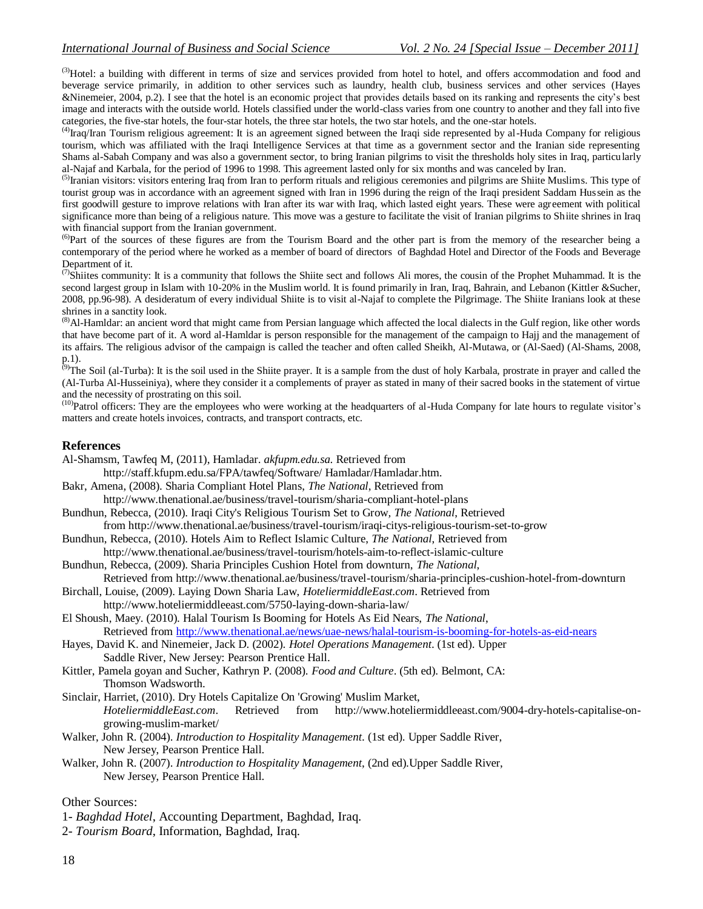<sup>(3)</sup>Hotel: a building with different in terms of size and services provided from hotel to hotel, and offers accommodation and food and beverage service primarily, in addition to other services such as laundry, health club, business services and other services (Hayes &Ninemeier, 2004, p.2). I see that the hotel is an economic project that provides details based on its ranking and represents the city's best image and interacts with the outside world. Hotels classified under the world-class varies from one country to another and they fall into five categories, the five-star hotels, the four-star hotels, the three star hotels, the two star hotels, and the one-star hotels.

<sup>(4)</sup>Iraq/Iran Tourism religious agreement: It is an agreement signed between the Iraqi side represented by al-Huda Company for religious tourism, which was affiliated with the Iraqi Intelligence Services at that time as a government sector and the Iranian side representing Shams al-Sabah Company and was also a government sector, to bring Iranian pilgrims to visit the thresholds holy sites in Iraq, particularly al-Najaf and Karbala, for the period of 1996 to 1998. This agreement lasted only for six months and was canceled by Iran.

<sup>(5)</sup>Iranian visitors: visitors entering Iraq from Iran to perform rituals and religious ceremonies and pilgrims are Shiite Muslims. This type of tourist group was in accordance with an agreement signed with Iran in 1996 during the reign of the Iraqi president Saddam Hussein as the first goodwill gesture to improve relations with Iran after its war with Iraq, which lasted eight years. These were agreement with political significance more than being of a religious nature. This move was a gesture to facilitate the visit of Iranian pilgrims to Shiite shrines in Iraq with financial support from the Iranian government.

<sup>(6)</sup>Part of the sources of these figures are from the Tourism Board and the other part is from the memory of the researcher being a contemporary of the period where he worked as a member of board of directors of Baghdad Hotel and Director of the Foods and Beverage Department of it.

 $\sigma$ Shiites community: It is a community that follows the Shiite sect and follows Ali mores, the cousin of the Prophet Muhammad. It is the second largest group in Islam with 10-20% in the Muslim world. It is found primarily in Iran, Iraq, Bahrain, and Lebanon (Kittler &Sucher, 2008, pp.96-98). A desideratum of every individual Shiite is to visit al-Najaf to complete the Pilgrimage. The Shiite Iranians look at these shrines in a sanctity look.

(8)Al-Hamldar: an ancient word that might came from Persian language which affected the local dialects in the Gulf region, like other words that have become part of it. A word al-Hamldar is person responsible for the management of the campaign to Hajj and the management of its affairs. The religious advisor of the campaign is called the teacher and often called Sheikh, Al-Mutawa, or (Al-Saed) (Al-Shams, 2008, p.1).

<sup>(9)</sup>The Soil (al-Turba): It is the soil used in the Shiite prayer. It is a sample from the dust of holy Karbala, prostrate in prayer and called the (Al-Turba Al-Husseiniya), where they consider it a complements of prayer as stated in many of their sacred books in the statement of virtue and the necessity of prostrating on this soil.

<sup>(10)</sup>Patrol officers: They are the employees who were working at the headquarters of al-Huda Company for late hours to regulate visitor's matters and create hotels invoices, contracts, and transport contracts, etc.

#### **References**

Al-Shamsm, Tawfeq M, (2011), Hamladar. *akfupm.edu.sa*. Retrieved from

http://staff.kfupm.edu.sa/FPA/tawfeq/Software/ Hamladar/Hamladar.htm.

- Bakr, Amena, (2008). Sharia Compliant Hotel Plans, *The National*, Retrieved from http://www.thenational.ae/business/travel-tourism/sharia-compliant-hotel-plans
- Bundhun, Rebecca, (2010). Iraqi City's Religious Tourism Set to Grow*, The National*, Retrieved from http://www.thenational.ae/business/travel-tourism/iraqi-citys-religious-tourism-set-to-grow
- Bundhun, Rebecca, (2010). Hotels Aim to Reflect Islamic Culture, *The National*, Retrieved from
- http://www.thenational.ae/business/travel-tourism/hotels-aim-to-reflect-islamic-culture Bundhun, Rebecca, (2009). Sharia Principles Cushion Hotel from downturn, *The National*,
- Retrieved from http://www.thenational.ae/business/travel-tourism/sharia-principles-cushion-hotel-from-downturn

Birchall, Louise, (2009). Laying Down Sharia Law, *HoteliermiddleEast.com*. Retrieved from http://www.hoteliermiddleeast.com/5750-laying-down-sharia-law/

El Shoush, Maey. (2010). Halal Tourism Is Booming for Hotels As Eid Nears, *The National*,

Retrieved from<http://www.thenational.ae/news/uae-news/halal-tourism-is-booming-for-hotels-as-eid-nears>

- Hayes, David K. and Ninemeier, Jack D. (2002). *Hotel Operations Management*. (1st ed). Upper Saddle River, New Jersey: Pearson Prentice Hall.
- Kittler, Pamela goyan and Sucher, Kathryn P. (2008). *Food and Culture*. (5th ed). Belmont, CA: Thomson Wadsworth.
- Sinclair, Harriet, (2010). Dry Hotels Capitalize On 'Growing' Muslim Market, *HoteliermiddleEast.com*. Retrieved from http://www.hoteliermiddleeast.com/9004-dry-hotels-capitalise-ongrowing-muslim-market/
- Walker, John R. (2004). *Introduction to Hospitality Management*. (1st ed). Upper Saddle River, New Jersey, Pearson Prentice Hall.
- Walker, John R. (2007). *Introduction to Hospitality Management*, (2nd ed).Upper Saddle River, New Jersey, Pearson Prentice Hall.

#### Other Sources:

- 1- *Baghdad Hotel*, Accounting Department, Baghdad, Iraq.
- 2*- Tourism Board*, Information, Baghdad, Iraq.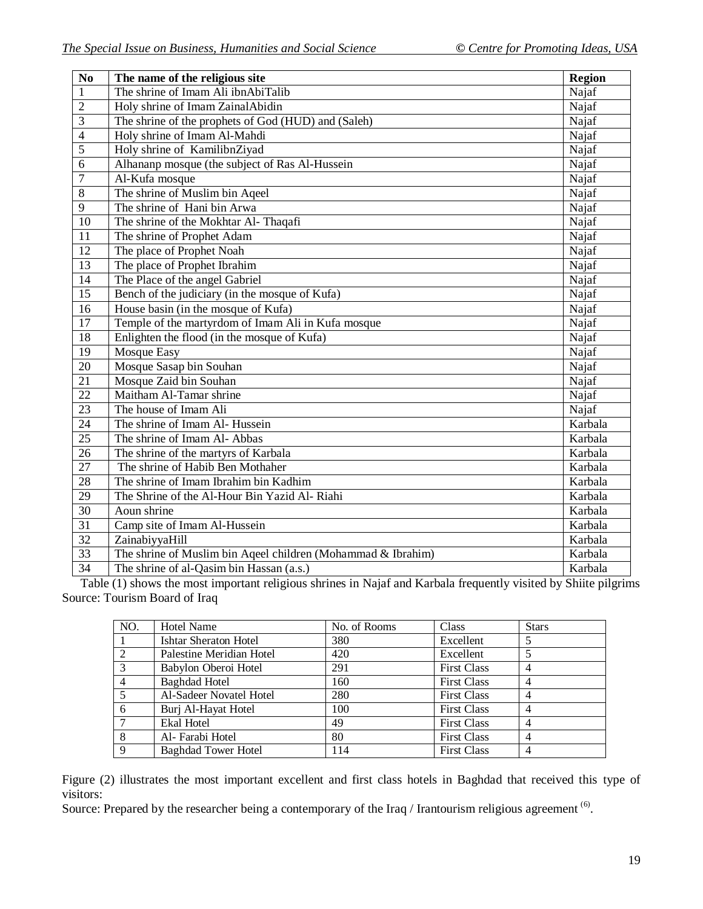| $\overline{\text{No}}$ | The name of the religious site                               | <b>Region</b>         |
|------------------------|--------------------------------------------------------------|-----------------------|
| $\mathbf{1}$           | The shrine of Imam Ali ibnAbiTalib                           | Najaf                 |
| $\overline{2}$         | Holy shrine of Imam ZainalAbidin                             | Najaf                 |
| $\overline{3}$         | The shrine of the prophets of God (HUD) and (Saleh)          | Najaf                 |
| $\overline{4}$         | Holy shrine of Imam Al-Mahdi                                 | Najaf                 |
| $\overline{5}$         | Holy shrine of KamilibnZiyad                                 | Najaf                 |
| $\overline{6}$         | Alhananp mosque (the subject of Ras Al-Hussein               | Najaf                 |
| $\overline{7}$         | Al-Kufa mosque                                               | Najaf                 |
| $\overline{8}$         | The shrine of Muslim bin Ageel                               | Najaf                 |
| $\overline{9}$         | The shrine of Hani bin Arwa                                  | Najaf                 |
| 10                     | The shrine of the Mokhtar Al- Thaqafi                        | Najaf                 |
| 11                     | The shrine of Prophet Adam                                   | Najaf                 |
| 12                     | The place of Prophet Noah                                    | Najaf                 |
| $\overline{13}$        | The place of Prophet Ibrahim                                 | Najaf                 |
| 14                     | The Place of the angel Gabriel                               | Najaf                 |
| 15                     | Bench of the judiciary (in the mosque of Kufa)               | Najaf                 |
| 16                     | House basin (in the mosque of Kufa)                          | Najaf                 |
| 17                     | Temple of the martyrdom of Imam Ali in Kufa mosque           | Najaf                 |
| $\overline{18}$        | Enlighten the flood (in the mosque of Kufa)                  | Najaf                 |
| 19                     | <b>Mosque Easy</b>                                           | Najaf                 |
| 20                     | Mosque Sasap bin Souhan                                      | Najaf                 |
| 21                     | Mosque Zaid bin Souhan                                       | Najaf                 |
| $\overline{22}$        | Maitham Al-Tamar shrine                                      | Najaf                 |
| 23                     | The house of Imam Ali                                        | Najaf                 |
| 24                     | The shrine of Imam Al- Hussein                               | Karbala               |
| 25                     | The shrine of Imam Al- Abbas                                 | Karbala               |
| $\overline{26}$        | The shrine of the martyrs of Karbala                         | Karbala               |
| 27                     | The shrine of Habib Ben Mothaher                             | Karbala               |
| 28                     | The shrine of Imam Ibrahim bin Kadhim                        | Karbala               |
| $\overline{29}$        | The Shrine of the Al-Hour Bin Yazid Al-Riahi                 | Karbala               |
| $\overline{30}$        | Aoun shrine                                                  | $\overline{K}$ arbala |
| 31                     | Camp site of Imam Al-Hussein                                 | Karbala               |
| 32                     | ZainabiyyaHill                                               | Karbala               |
| 33                     | The shrine of Muslim bin Aqeel children (Mohammad & Ibrahim) | Karbala               |
| 34                     | The shrine of al-Qasim bin Hassan (a.s.)                     | Karbala               |

Table (1) shows the most important religious shrines in Najaf and Karbala frequently visited by Shiite pilgrims Source: Tourism Board of Iraq

| NO.            | <b>Hotel Name</b>          | No. of Rooms | Class              | <b>Stars</b> |
|----------------|----------------------------|--------------|--------------------|--------------|
|                | Ishtar Sheraton Hotel      | 380          | Excellent          |              |
| 2              | Palestine Meridian Hotel   | 420          | Excellent          |              |
| 3              | Babylon Oberoi Hotel       | 291          | <b>First Class</b> |              |
| $\overline{4}$ | <b>Baghdad Hotel</b>       | 160          | <b>First Class</b> |              |
| 5              | Al-Sadeer Novatel Hotel    | 280          | <b>First Class</b> |              |
| -6             | Burj Al-Hayat Hotel        | 100          | <b>First Class</b> |              |
|                | Ekal Hotel                 | 49           | <b>First Class</b> |              |
| 8              | Al-Farabi Hotel            | 80           | <b>First Class</b> |              |
| 9              | <b>Baghdad Tower Hotel</b> | 114          | <b>First Class</b> |              |

Figure (2) illustrates the most important excellent and first class hotels in Baghdad that received this type of visitors:

Source: Prepared by the researcher being a contemporary of the Iraq / Irantourism religious agreement  $^{(6)}$ .